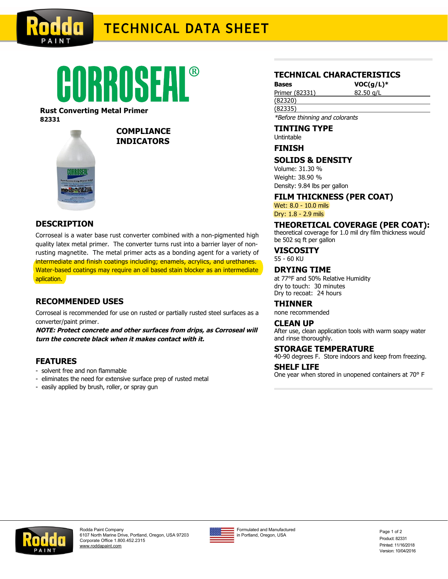

# **TECHNICAL DATA SHEET**



#### **Rust Converting Metal Primer 82331**



## **COMPLIANCE INDICATORS**

# **DESCRIPTION**

Corroseal is a water base rust converter combined with a non-pigmented high quality latex metal primer. The converter turns rust into a barrier layer of nonrusting magnetite. The metal primer acts as a bonding agent for a variety of intermediate and finish coatings including; enamels, acrylics, and urethanes. Water-based coatings may require an oil based stain blocker as an intermediate aplication.

# **RECOMMENDED USES**

Corroseal is recommended for use on rusted or partially rusted steel surfaces as a converter/paint primer.

**NOTE: Protect concrete and other surfaces from drips, as Corroseal will turn the concrete black when it makes contact with it.**

# **FEATURES**

- solvent free and non flammable
- eliminates the need for extensive surface prep of rusted metal
- easily applied by brush, roller, or spray gun

## **TECHNICAL CHARACTERISTICS**

**Bases VOC(g/L)\*** Primer (82331) 82.50 g/L

(82335) \*Before thinning and colorants

## **TINTING TYPE**

Untintable

(82320)

## **FINISH**

## **SOLIDS & DENSITY**

Volume: 31.30 % Weight: 38.90 % Density: 9.84 lbs per gallon

**FILM THICKNESS (PER COAT)**

Wet: 8.0 - 10.0 mils Dry: 1.8 - 2.9 mils

# **THEORETICAL COVERAGE (PER COAT):**

theoretical coverage for 1.0 mil dry film thickness would be 502 sq ft per gallon

**VISCOSITY**

55 - 60 KU

# **DRYING TIME**

at 77°F and 50% Relative Humidity dry to touch: 30 minutes Dry to recoat: 24 hours

**THINNER**

none recommended

#### **CLEAN UP**

After use, clean application tools with warm soapy water and rinse thoroughly.

#### **STORAGE TEMPERATURE**

40-90 degrees F. Store indoors and keep from freezing.

#### **SHELF LIFE**

One year when stored in unopened containers at 70° F



Rodda Paint Company 6107 North Marine Drive, Portland, Oregon, USA 97203 Corporate Office 1.800.452.2315 [www.roddapaint.com](http://www.roddapaint.com)



Formulated and Manufactured in Portland, Oregon, USA

Product: 82331 Printed: 11/16/2018 Version: 10/04/2016 Page 1 of 2